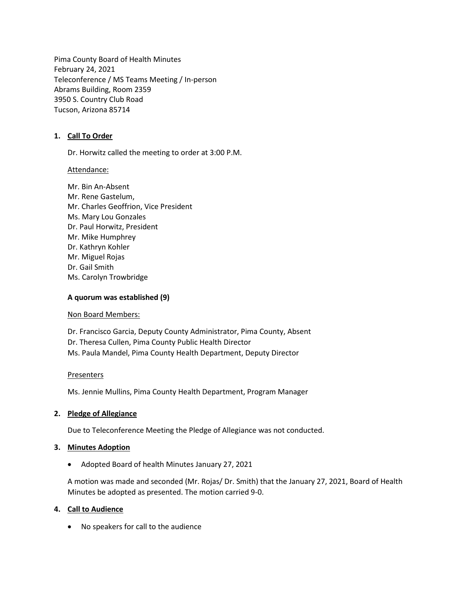Pima County Board of Health Minutes February 24, 2021 Teleconference / MS Teams Meeting / In-person Abrams Building, Room 2359 3950 S. Country Club Road Tucson, Arizona 85714

#### **1. Call To Order**

Dr. Horwitz called the meeting to order at 3:00 P.M.

Attendance:

Mr. Bin An-Absent Mr. Rene Gastelum, Mr. Charles Geoffrion, Vice President Ms. Mary Lou Gonzales Dr. Paul Horwitz, President Mr. Mike Humphrey Dr. Kathryn Kohler Mr. Miguel Rojas Dr. Gail Smith Ms. Carolyn Trowbridge

#### **A quorum was established (9)**

Non Board Members:

Dr. Francisco Garcia, Deputy County Administrator, Pima County, Absent Dr. Theresa Cullen, Pima County Public Health Director Ms. Paula Mandel, Pima County Health Department, Deputy Director

#### Presenters

Ms. Jennie Mullins, Pima County Health Department, Program Manager

# **2. Pledge of Allegiance**

Due to Teleconference Meeting the Pledge of Allegiance was not conducted.

# **3. Minutes Adoption**

• Adopted Board of health Minutes January 27, 2021

A motion was made and seconded (Mr. Rojas/ Dr. Smith) that the January 27, 2021, Board of Health Minutes be adopted as presented. The motion carried 9-0.

# **4. Call to Audience**

• No speakers for call to the audience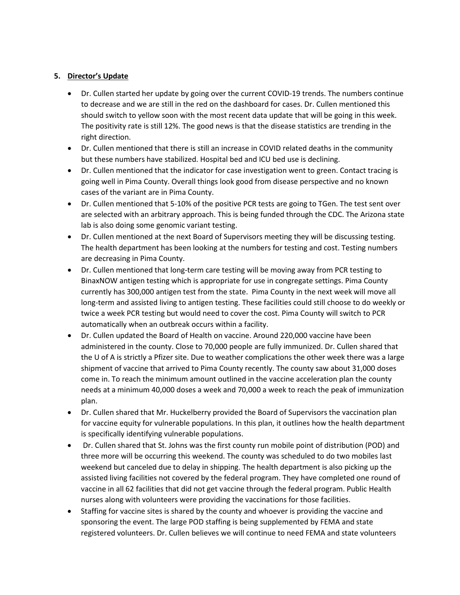### **5. Director's Update**

- Dr. Cullen started her update by going over the current COVID-19 trends. The numbers continue to decrease and we are still in the red on the dashboard for cases. Dr. Cullen mentioned this should switch to yellow soon with the most recent data update that will be going in this week. The positivity rate is still 12%. The good news is that the disease statistics are trending in the right direction.
- Dr. Cullen mentioned that there is still an increase in COVID related deaths in the community but these numbers have stabilized. Hospital bed and ICU bed use is declining.
- Dr. Cullen mentioned that the indicator for case investigation went to green. Contact tracing is going well in Pima County. Overall things look good from disease perspective and no known cases of the variant are in Pima County.
- Dr. Cullen mentioned that 5-10% of the positive PCR tests are going to TGen. The test sent over are selected with an arbitrary approach. This is being funded through the CDC. The Arizona state lab is also doing some genomic variant testing.
- Dr. Cullen mentioned at the next Board of Supervisors meeting they will be discussing testing. The health department has been looking at the numbers for testing and cost. Testing numbers are decreasing in Pima County.
- Dr. Cullen mentioned that long-term care testing will be moving away from PCR testing to BinaxNOW antigen testing which is appropriate for use in congregate settings. Pima County currently has 300,000 antigen test from the state. Pima County in the next week will move all long-term and assisted living to antigen testing. These facilities could still choose to do weekly or twice a week PCR testing but would need to cover the cost. Pima County will switch to PCR automatically when an outbreak occurs within a facility.
- Dr. Cullen updated the Board of Health on vaccine. Around 220,000 vaccine have been administered in the county. Close to 70,000 people are fully immunized. Dr. Cullen shared that the U of A is strictly a Pfizer site. Due to weather complications the other week there was a large shipment of vaccine that arrived to Pima County recently. The county saw about 31,000 doses come in. To reach the minimum amount outlined in the vaccine acceleration plan the county needs at a minimum 40,000 doses a week and 70,000 a week to reach the peak of immunization plan.
- Dr. Cullen shared that Mr. Huckelberry provided the Board of Supervisors the vaccination plan for vaccine equity for vulnerable populations. In this plan, it outlines how the health department is specifically identifying vulnerable populations.
- Dr. Cullen shared that St. Johns was the first county run mobile point of distribution (POD) and three more will be occurring this weekend. The county was scheduled to do two mobiles last weekend but canceled due to delay in shipping. The health department is also picking up the assisted living facilities not covered by the federal program. They have completed one round of vaccine in all 62 facilities that did not get vaccine through the federal program. Public Health nurses along with volunteers were providing the vaccinations for those facilities.
- Staffing for vaccine sites is shared by the county and whoever is providing the vaccine and sponsoring the event. The large POD staffing is being supplemented by FEMA and state registered volunteers. Dr. Cullen believes we will continue to need FEMA and state volunteers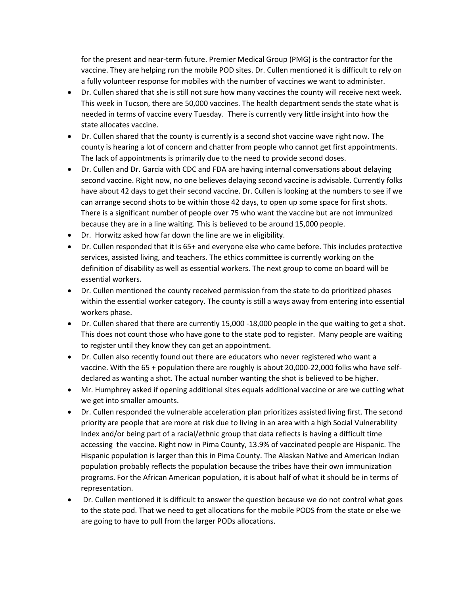for the present and near-term future. Premier Medical Group (PMG) is the contractor for the vaccine. They are helping run the mobile POD sites. Dr. Cullen mentioned it is difficult to rely on a fully volunteer response for mobiles with the number of vaccines we want to administer.

- Dr. Cullen shared that she is still not sure how many vaccines the county will receive next week. This week in Tucson, there are 50,000 vaccines. The health department sends the state what is needed in terms of vaccine every Tuesday. There is currently very little insight into how the state allocates vaccine.
- Dr. Cullen shared that the county is currently is a second shot vaccine wave right now. The county is hearing a lot of concern and chatter from people who cannot get first appointments. The lack of appointments is primarily due to the need to provide second doses.
- Dr. Cullen and Dr. Garcia with CDC and FDA are having internal conversations about delaying second vaccine. Right now, no one believes delaying second vaccine is advisable. Currently folks have about 42 days to get their second vaccine. Dr. Cullen is looking at the numbers to see if we can arrange second shots to be within those 42 days, to open up some space for first shots. There is a significant number of people over 75 who want the vaccine but are not immunized because they are in a line waiting. This is believed to be around 15,000 people.
- Dr. Horwitz asked how far down the line are we in eligibility.
- Dr. Cullen responded that it is 65+ and everyone else who came before. This includes protective services, assisted living, and teachers. The ethics committee is currently working on the definition of disability as well as essential workers. The next group to come on board will be essential workers.
- Dr. Cullen mentioned the county received permission from the state to do prioritized phases within the essential worker category. The county is still a ways away from entering into essential workers phase.
- Dr. Cullen shared that there are currently 15,000 -18,000 people in the que waiting to get a shot. This does not count those who have gone to the state pod to register. Many people are waiting to register until they know they can get an appointment.
- Dr. Cullen also recently found out there are educators who never registered who want a vaccine. With the 65 + population there are roughly is about 20,000-22,000 folks who have selfdeclared as wanting a shot. The actual number wanting the shot is believed to be higher.
- Mr. Humphrey asked if opening additional sites equals additional vaccine or are we cutting what we get into smaller amounts.
- Dr. Cullen responded the vulnerable acceleration plan prioritizes assisted living first. The second priority are people that are more at risk due to living in an area with a high Social Vulnerability Index and/or being part of a racial/ethnic group that data reflects is having a difficult time accessing the vaccine. Right now in Pima County, 13.9% of vaccinated people are Hispanic. The Hispanic population is larger than this in Pima County. The Alaskan Native and American Indian population probably reflects the population because the tribes have their own immunization programs. For the African American population, it is about half of what it should be in terms of representation.
- Dr. Cullen mentioned it is difficult to answer the question because we do not control what goes to the state pod. That we need to get allocations for the mobile PODS from the state or else we are going to have to pull from the larger PODs allocations.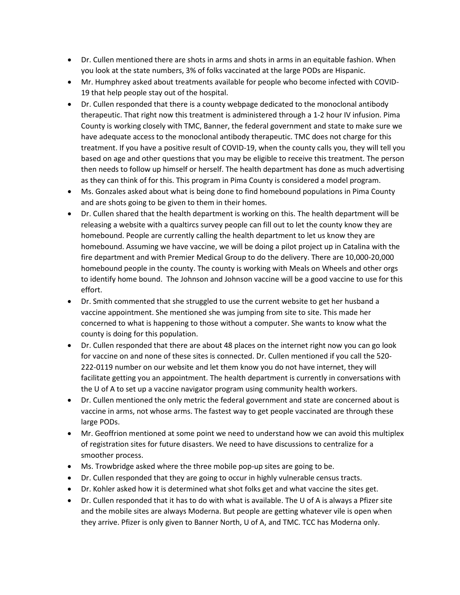- Dr. Cullen mentioned there are shots in arms and shots in arms in an equitable fashion. When you look at the state numbers, 3% of folks vaccinated at the large PODs are Hispanic.
- Mr. Humphrey asked about treatments available for people who become infected with COVID-19 that help people stay out of the hospital.
- Dr. Cullen responded that there is a county webpage dedicated to the monoclonal antibody therapeutic. That right now this treatment is administered through a 1-2 hour IV infusion. Pima County is working closely with TMC, Banner, the federal government and state to make sure we have adequate access to the monoclonal antibody therapeutic. TMC does not charge for this treatment. If you have a positive result of COVID-19, when the county calls you, they will tell you based on age and other questions that you may be eligible to receive this treatment. The person then needs to follow up himself or herself. The health department has done as much advertising as they can think of for this. This program in Pima County is considered a model program.
- Ms. Gonzales asked about what is being done to find homebound populations in Pima County and are shots going to be given to them in their homes.
- Dr. Cullen shared that the health department is working on this. The health department will be releasing a website with a qualtircs survey people can fill out to let the county know they are homebound. People are currently calling the health department to let us know they are homebound. Assuming we have vaccine, we will be doing a pilot project up in Catalina with the fire department and with Premier Medical Group to do the delivery. There are 10,000-20,000 homebound people in the county. The county is working with Meals on Wheels and other orgs to identify home bound. The Johnson and Johnson vaccine will be a good vaccine to use for this effort.
- Dr. Smith commented that she struggled to use the current website to get her husband a vaccine appointment. She mentioned she was jumping from site to site. This made her concerned to what is happening to those without a computer. She wants to know what the county is doing for this population.
- Dr. Cullen responded that there are about 48 places on the internet right now you can go look for vaccine on and none of these sites is connected. Dr. Cullen mentioned if you call the 520- 222-0119 number on our website and let them know you do not have internet, they will facilitate getting you an appointment. The health department is currently in conversations with the U of A to set up a vaccine navigator program using community health workers.
- Dr. Cullen mentioned the only metric the federal government and state are concerned about is vaccine in arms, not whose arms. The fastest way to get people vaccinated are through these large PODs.
- Mr. Geoffrion mentioned at some point we need to understand how we can avoid this multiplex of registration sites for future disasters. We need to have discussions to centralize for a smoother process.
- Ms. Trowbridge asked where the three mobile pop-up sites are going to be.
- Dr. Cullen responded that they are going to occur in highly vulnerable census tracts.
- Dr. Kohler asked how it is determined what shot folks get and what vaccine the sites get.
- Dr. Cullen responded that it has to do with what is available. The U of A is always a Pfizer site and the mobile sites are always Moderna. But people are getting whatever vile is open when they arrive. Pfizer is only given to Banner North, U of A, and TMC. TCC has Moderna only.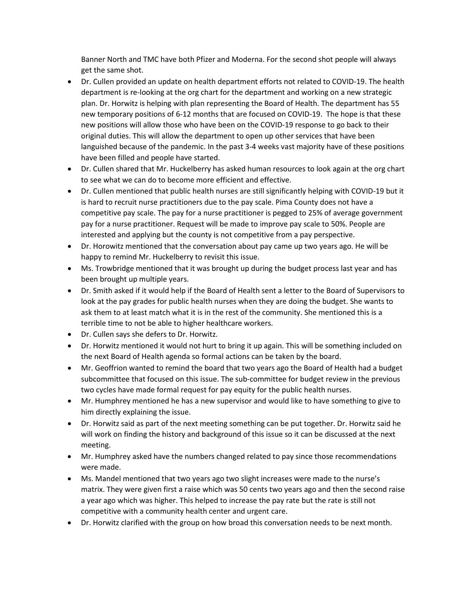Banner North and TMC have both Pfizer and Moderna. For the second shot people will always get the same shot.

- Dr. Cullen provided an update on health department efforts not related to COVID-19. The health department is re-looking at the org chart for the department and working on a new strategic plan. Dr. Horwitz is helping with plan representing the Board of Health. The department has 55 new temporary positions of 6-12 months that are focused on COVID-19. The hope is that these new positions will allow those who have been on the COVID-19 response to go back to their original duties. This will allow the department to open up other services that have been languished because of the pandemic. In the past 3-4 weeks vast majority have of these positions have been filled and people have started.
- Dr. Cullen shared that Mr. Huckelberry has asked human resources to look again at the org chart to see what we can do to become more efficient and effective.
- Dr. Cullen mentioned that public health nurses are still significantly helping with COVID-19 but it is hard to recruit nurse practitioners due to the pay scale. Pima County does not have a competitive pay scale. The pay for a nurse practitioner is pegged to 25% of average government pay for a nurse practitioner. Request will be made to improve pay scale to 50%. People are interested and applying but the county is not competitive from a pay perspective.
- Dr. Horowitz mentioned that the conversation about pay came up two years ago. He will be happy to remind Mr. Huckelberry to revisit this issue.
- Ms. Trowbridge mentioned that it was brought up during the budget process last year and has been brought up multiple years.
- Dr. Smith asked if it would help if the Board of Health sent a letter to the Board of Supervisors to look at the pay grades for public health nurses when they are doing the budget. She wants to ask them to at least match what it is in the rest of the community. She mentioned this is a terrible time to not be able to higher healthcare workers.
- Dr. Cullen says she defers to Dr. Horwitz.
- Dr. Horwitz mentioned it would not hurt to bring it up again. This will be something included on the next Board of Health agenda so formal actions can be taken by the board.
- Mr. Geoffrion wanted to remind the board that two years ago the Board of Health had a budget subcommittee that focused on this issue. The sub-committee for budget review in the previous two cycles have made formal request for pay equity for the public health nurses.
- Mr. Humphrey mentioned he has a new supervisor and would like to have something to give to him directly explaining the issue.
- Dr. Horwitz said as part of the next meeting something can be put together. Dr. Horwitz said he will work on finding the history and background of this issue so it can be discussed at the next meeting.
- Mr. Humphrey asked have the numbers changed related to pay since those recommendations were made.
- Ms. Mandel mentioned that two years ago two slight increases were made to the nurse's matrix. They were given first a raise which was 50 cents two years ago and then the second raise a year ago which was higher. This helped to increase the pay rate but the rate is still not competitive with a community health center and urgent care.
- Dr. Horwitz clarified with the group on how broad this conversation needs to be next month.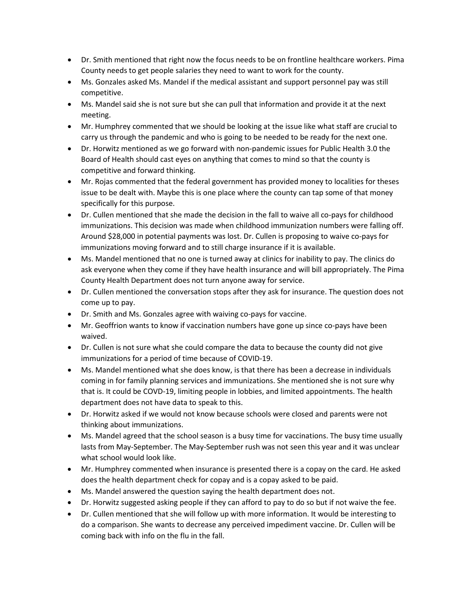- Dr. Smith mentioned that right now the focus needs to be on frontline healthcare workers. Pima County needs to get people salaries they need to want to work for the county.
- Ms. Gonzales asked Ms. Mandel if the medical assistant and support personnel pay was still competitive.
- Ms. Mandel said she is not sure but she can pull that information and provide it at the next meeting.
- Mr. Humphrey commented that we should be looking at the issue like what staff are crucial to carry us through the pandemic and who is going to be needed to be ready for the next one.
- Dr. Horwitz mentioned as we go forward with non-pandemic issues for Public Health 3.0 the Board of Health should cast eyes on anything that comes to mind so that the county is competitive and forward thinking.
- Mr. Rojas commented that the federal government has provided money to localities for theses issue to be dealt with. Maybe this is one place where the county can tap some of that money specifically for this purpose.
- Dr. Cullen mentioned that she made the decision in the fall to waive all co-pays for childhood immunizations. This decision was made when childhood immunization numbers were falling off. Around \$28,000 in potential payments was lost. Dr. Cullen is proposing to waive co-pays for immunizations moving forward and to still charge insurance if it is available.
- Ms. Mandel mentioned that no one is turned away at clinics for inability to pay. The clinics do ask everyone when they come if they have health insurance and will bill appropriately. The Pima County Health Department does not turn anyone away for service.
- Dr. Cullen mentioned the conversation stops after they ask for insurance. The question does not come up to pay.
- Dr. Smith and Ms. Gonzales agree with waiving co-pays for vaccine.
- Mr. Geoffrion wants to know if vaccination numbers have gone up since co-pays have been waived.
- Dr. Cullen is not sure what she could compare the data to because the county did not give immunizations for a period of time because of COVID-19.
- Ms. Mandel mentioned what she does know, is that there has been a decrease in individuals coming in for family planning services and immunizations. She mentioned she is not sure why that is. It could be COVD-19, limiting people in lobbies, and limited appointments. The health department does not have data to speak to this.
- Dr. Horwitz asked if we would not know because schools were closed and parents were not thinking about immunizations.
- Ms. Mandel agreed that the school season is a busy time for vaccinations. The busy time usually lasts from May-September. The May-September rush was not seen this year and it was unclear what school would look like.
- Mr. Humphrey commented when insurance is presented there is a copay on the card. He asked does the health department check for copay and is a copay asked to be paid.
- Ms. Mandel answered the question saying the health department does not.
- Dr. Horwitz suggested asking people if they can afford to pay to do so but if not waive the fee.
- Dr. Cullen mentioned that she will follow up with more information. It would be interesting to do a comparison. She wants to decrease any perceived impediment vaccine. Dr. Cullen will be coming back with info on the flu in the fall.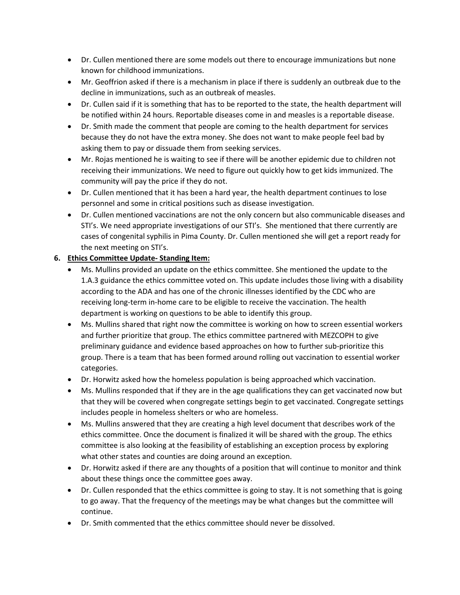- Dr. Cullen mentioned there are some models out there to encourage immunizations but none known for childhood immunizations.
- Mr. Geoffrion asked if there is a mechanism in place if there is suddenly an outbreak due to the decline in immunizations, such as an outbreak of measles.
- Dr. Cullen said if it is something that has to be reported to the state, the health department will be notified within 24 hours. Reportable diseases come in and measles is a reportable disease.
- Dr. Smith made the comment that people are coming to the health department for services because they do not have the extra money. She does not want to make people feel bad by asking them to pay or dissuade them from seeking services.
- Mr. Rojas mentioned he is waiting to see if there will be another epidemic due to children not receiving their immunizations. We need to figure out quickly how to get kids immunized. The community will pay the price if they do not.
- Dr. Cullen mentioned that it has been a hard year, the health department continues to lose personnel and some in critical positions such as disease investigation.
- Dr. Cullen mentioned vaccinations are not the only concern but also communicable diseases and STI's. We need appropriate investigations of our STI's. She mentioned that there currently are cases of congenital syphilis in Pima County. Dr. Cullen mentioned she will get a report ready for the next meeting on STI's.

### **6. Ethics Committee Update- Standing Item:**

- Ms. Mullins provided an update on the ethics committee. She mentioned the update to the 1.A.3 guidance the ethics committee voted on. This update includes those living with a disability according to the ADA and has one of the chronic illnesses identified by the CDC who are receiving long-term in-home care to be eligible to receive the vaccination. The health department is working on questions to be able to identify this group.
- Ms. Mullins shared that right now the committee is working on how to screen essential workers and further prioritize that group. The ethics committee partnered with MEZCOPH to give preliminary guidance and evidence based approaches on how to further sub-prioritize this group. There is a team that has been formed around rolling out vaccination to essential worker categories.
- Dr. Horwitz asked how the homeless population is being approached which vaccination.
- Ms. Mullins responded that if they are in the age qualifications they can get vaccinated now but that they will be covered when congregate settings begin to get vaccinated. Congregate settings includes people in homeless shelters or who are homeless.
- Ms. Mullins answered that they are creating a high level document that describes work of the ethics committee. Once the document is finalized it will be shared with the group. The ethics committee is also looking at the feasibility of establishing an exception process by exploring what other states and counties are doing around an exception.
- Dr. Horwitz asked if there are any thoughts of a position that will continue to monitor and think about these things once the committee goes away.
- Dr. Cullen responded that the ethics committee is going to stay. It is not something that is going to go away. That the frequency of the meetings may be what changes but the committee will continue.
- Dr. Smith commented that the ethics committee should never be dissolved.